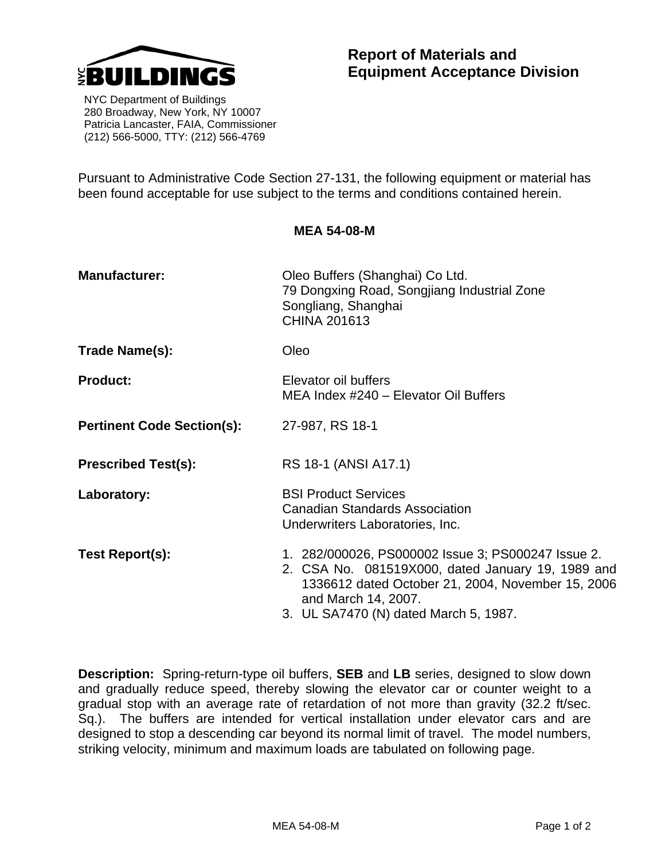

 NYC Department of Buildings 280 Broadway, New York, NY 10007 Patricia Lancaster, FAIA, Commissioner (212) 566-5000, TTY: (212) 566-4769

Pursuant to Administrative Code Section 27-131, the following equipment or material has been found acceptable for use subject to the terms and conditions contained herein.

**MEA 54-08-M** 

| <b>Manufacturer:</b>              | Oleo Buffers (Shanghai) Co Ltd.<br>79 Dongxing Road, Songjiang Industrial Zone<br>Songliang, Shanghai<br>CHINA 201613                                                                                                        |  |
|-----------------------------------|------------------------------------------------------------------------------------------------------------------------------------------------------------------------------------------------------------------------------|--|
| Trade Name(s):                    | Oleo                                                                                                                                                                                                                         |  |
| <b>Product:</b>                   | Elevator oil buffers<br>MEA Index #240 - Elevator Oil Buffers                                                                                                                                                                |  |
| <b>Pertinent Code Section(s):</b> | 27-987, RS 18-1                                                                                                                                                                                                              |  |
| <b>Prescribed Test(s):</b>        | RS 18-1 (ANSI A17.1)                                                                                                                                                                                                         |  |
| Laboratory:                       | <b>BSI Product Services</b><br><b>Canadian Standards Association</b><br>Underwriters Laboratories, Inc.                                                                                                                      |  |
| Test Report(s):                   | 1. 282/000026, PS000002 Issue 3; PS000247 Issue 2.<br>2. CSA No. 081519X000, dated January 19, 1989 and<br>1336612 dated October 21, 2004, November 15, 2006<br>and March 14, 2007.<br>3. UL SA7470 (N) dated March 5, 1987. |  |

**Description:** Spring-return-type oil buffers, **SEB** and **LB** series, designed to slow down and gradually reduce speed, thereby slowing the elevator car or counter weight to a gradual stop with an average rate of retardation of not more than gravity (32.2 ft/sec. Sq.). The buffers are intended for vertical installation under elevator cars and are designed to stop a descending car beyond its normal limit of travel. The model numbers, striking velocity, minimum and maximum loads are tabulated on following page.